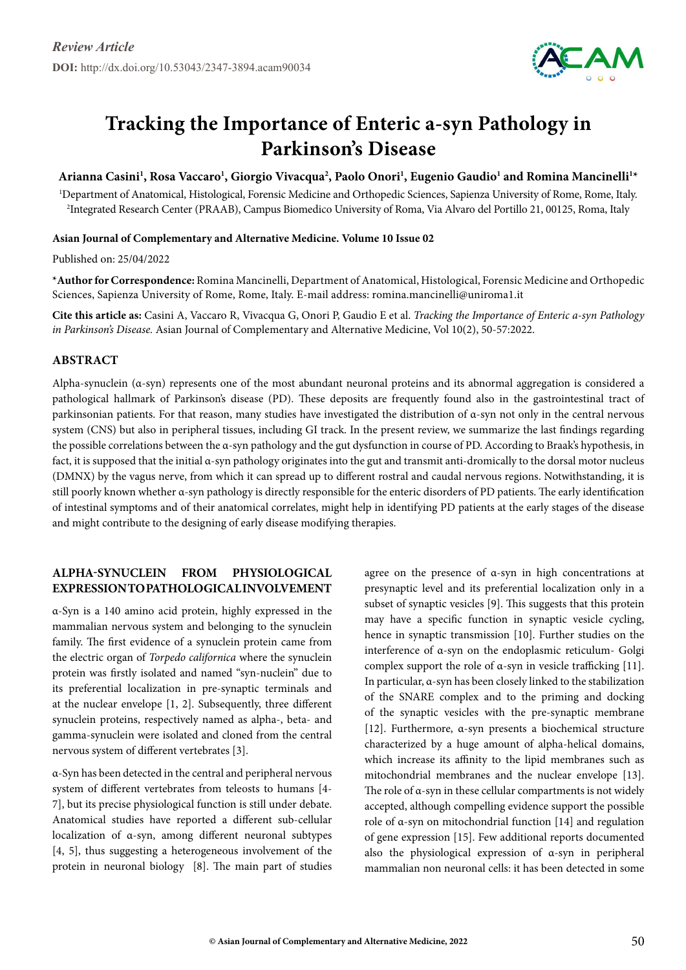

# **Tracking the Importance of Enteric a-syn Pathology in Parkinson's Disease**

## Arianna Casini<sup>1</sup>, Rosa Vaccaro<sup>1</sup>, Giorgio Vivacqua<sup>2</sup>, Paolo Onori<sup>1</sup>, Eugenio Gaudio<sup>1</sup> and Romina Mancinelli<sup>1</sup>\*

1 Department of Anatomical, Histological, Forensic Medicine and Orthopedic Sciences, Sapienza University of Rome, Rome, Italy. 2 Integrated Research Center (PRAAB), Campus Biomedico University of Roma, Via Alvaro del Portillo 21, 00125, Roma, Italy

#### **Asian Journal of Complementary and Alternative Medicine. Volume 10 Issue 02**

Published on: 25/04/2022

**\*Author for Correspondence:** Romina Mancinelli, Department of Anatomical, Histological, Forensic Medicine and Orthopedic Sciences, Sapienza University of Rome, Rome, Italy. E-mail address: romina.mancinelli@uniroma1.it

**Cite this article as:** Casini A, Vaccaro R, Vivacqua G, Onori P, Gaudio E et al. *Tracking the Importance of Enteric a-syn Pathology in Parkinson's Disease.* Asian Journal of Complementary and Alternative Medicine, Vol 10(2), 50-57:2022.

### **Abstract**

Alpha-synuclein (α-syn) represents one of the most abundant neuronal proteins and its abnormal aggregation is considered a pathological hallmark of Parkinson's disease (PD). These deposits are frequently found also in the gastrointestinal tract of parkinsonian patients. For that reason, many studies have investigated the distribution of α-syn not only in the central nervous system (CNS) but also in peripheral tissues, including GI track. In the present review, we summarize the last findings regarding the possible correlations between the α-syn pathology and the gut dysfunction in course of PD. According to Braak's hypothesis, in fact, it is supposed that the initial α-syn pathology originates into the gut and transmit anti-dromically to the dorsal motor nucleus (DMNX) by the vagus nerve, from which it can spread up to different rostral and caudal nervous regions. Notwithstanding, it is still poorly known whether α-syn pathology is directly responsible for the enteric disorders of PD patients. The early identification of intestinal symptoms and of their anatomical correlates, might help in identifying PD patients at the early stages of the disease and might contribute to the designing of early disease modifying therapies.

# **Alpha-synuclein from physiological expression topathological involvement**

α-Syn is a 140 amino acid protein, highly expressed in the mammalian nervous system and belonging to the synuclein family. The first evidence of a synuclein protein came from the electric organ of *Torpedo californica* where the synuclein protein was firstly isolated and named "syn-nuclein" due to its preferential localization in pre-synaptic terminals and at the nuclear envelope [1, 2]. Subsequently, three different synuclein proteins, respectively named as alpha-, beta- and gamma-synuclein were isolated and cloned from the central nervous system of different vertebrates [3].

α-Syn has been detected in the central and peripheral nervous system of different vertebrates from teleosts to humans [4- 7], but its precise physiological function is still under debate. Anatomical studies have reported a different sub-cellular localization of α-syn, among different neuronal subtypes [4, 5], thus suggesting a heterogeneous involvement of the protein in neuronal biology [8]. The main part of studies

agree on the presence of  $\alpha$ -syn in high concentrations at presynaptic level and its preferential localization only in a subset of synaptic vesicles [9]. This suggests that this protein may have a specific function in synaptic vesicle cycling, hence in synaptic transmission [10]. Further studies on the interference of α-syn on the endoplasmic reticulum- Golgi complex support the role of  $\alpha$ -syn in vesicle trafficking [11]. In particular, α-syn has been closely linked to the stabilization of the SNARE complex and to the priming and docking of the synaptic vesicles with the pre-synaptic membrane [12]. Furthermore, α-syn presents a biochemical structure characterized by a huge amount of alpha-helical domains, which increase its affinity to the lipid membranes such as mitochondrial membranes and the nuclear envelope [13]. The role of α-syn in these cellular compartments is not widely accepted, although compelling evidence support the possible role of α-syn on mitochondrial function [14] and regulation of gene expression [15]. Few additional reports documented also the physiological expression of α-syn in peripheral mammalian non neuronal cells: it has been detected in some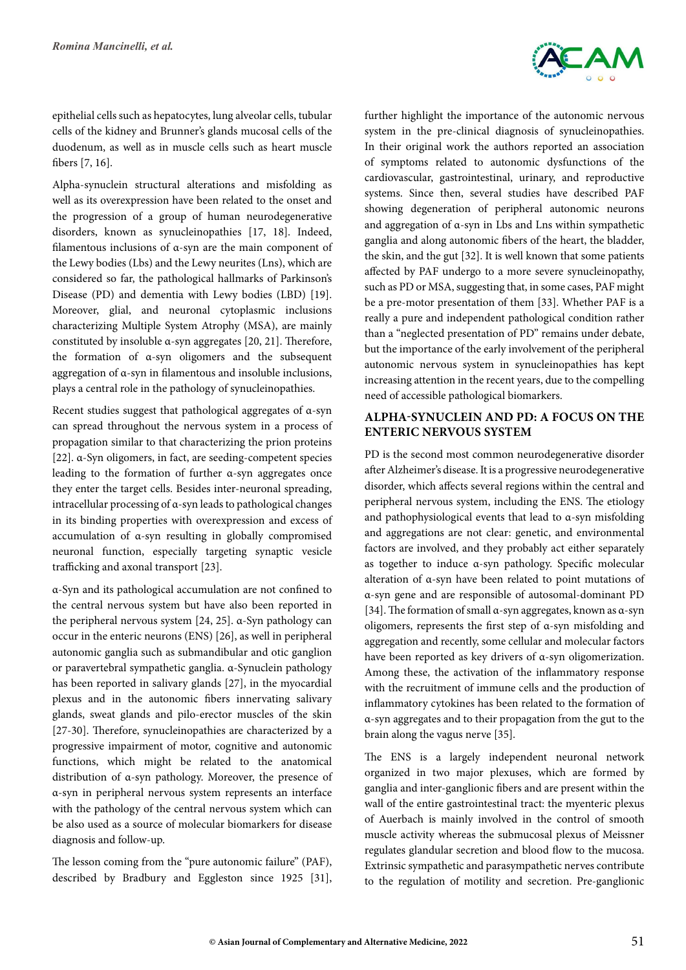

epithelial cells such as hepatocytes, lung alveolar cells, tubular cells of the kidney and Brunner's glands mucosal cells of the duodenum, as well as in muscle cells such as heart muscle fibers [7, 16].

Alpha-synuclein structural alterations and misfolding as well as its overexpression have been related to the onset and the progression of a group of human neurodegenerative disorders, known as synucleinopathies [17, 18]. Indeed, filamentous inclusions of α-syn are the main component of the Lewy bodies (Lbs) and the Lewy neurites (Lns), which are considered so far, the pathological hallmarks of Parkinson's Disease (PD) and dementia with Lewy bodies (LBD) [19]. Moreover, glial, and neuronal cytoplasmic inclusions characterizing Multiple System Atrophy (MSA), are mainly constituted by insoluble α-syn aggregates [20, 21]. Therefore, the formation of α-syn oligomers and the subsequent aggregation of α-syn in filamentous and insoluble inclusions, plays a central role in the pathology of synucleinopathies.

Recent studies suggest that pathological aggregates of α-syn can spread throughout the nervous system in a process of propagation similar to that characterizing the prion proteins [22]. α-Syn oligomers, in fact, are seeding-competent species leading to the formation of further α-syn aggregates once they enter the target cells. Besides inter-neuronal spreading, intracellular processing of α-syn leads to pathological changes in its binding properties with overexpression and excess of accumulation of α-syn resulting in globally compromised neuronal function, especially targeting synaptic vesicle trafficking and axonal transport [23].

α-Syn and its pathological accumulation are not confined to the central nervous system but have also been reported in the peripheral nervous system [24, 25]. α-Syn pathology can occur in the enteric neurons (ENS) [26], as well in peripheral autonomic ganglia such as submandibular and otic ganglion or paravertebral sympathetic ganglia. α-Synuclein pathology has been reported in salivary glands [27], in the myocardial plexus and in the autonomic fibers innervating salivary glands, sweat glands and pilo-erector muscles of the skin [27-30]. Therefore, synucleinopathies are characterized by a progressive impairment of motor, cognitive and autonomic functions, which might be related to the anatomical distribution of α-syn pathology. Moreover, the presence of α-syn in peripheral nervous system represents an interface with the pathology of the central nervous system which can be also used as a source of molecular biomarkers for disease diagnosis and follow-up.

The lesson coming from the "pure autonomic failure" (PAF), described by Bradbury and Eggleston since 1925 [31], further highlight the importance of the autonomic nervous system in the pre-clinical diagnosis of synucleinopathies. In their original work the authors reported an association of symptoms related to autonomic dysfunctions of the cardiovascular, gastrointestinal, urinary, and reproductive systems. Since then, several studies have described PAF showing degeneration of peripheral autonomic neurons and aggregation of α-syn in Lbs and Lns within sympathetic ganglia and along autonomic fibers of the heart, the bladder, the skin, and the gut [32]. It is well known that some patients affected by PAF undergo to a more severe synucleinopathy, such as PD or MSA, suggesting that, in some cases, PAF might be a pre-motor presentation of them [33]. Whether PAF is a really a pure and independent pathological condition rather than a "neglected presentation of PD" remains under debate, but the importance of the early involvement of the peripheral autonomic nervous system in synucleinopathies has kept increasing attention in the recent years, due to the compelling need of accessible pathological biomarkers.

## **Alpha-synuclein and PD: a focus on the Enteric Nervous System**

PD is the second most common neurodegenerative disorder after Alzheimer's disease. It is a progressive neurodegenerative disorder, which affects several regions within the central and peripheral nervous system, including the ENS. The etiology and pathophysiological events that lead to α-syn misfolding and aggregations are not clear: genetic, and environmental factors are involved, and they probably act either separately as together to induce α-syn pathology. Specific molecular alteration of α-syn have been related to point mutations of α-syn gene and are responsible of autosomal-dominant PD [34]. The formation of small α-syn aggregates, known as α-syn oligomers, represents the first step of α-syn misfolding and aggregation and recently, some cellular and molecular factors have been reported as key drivers of α-syn oligomerization. Among these, the activation of the inflammatory response with the recruitment of immune cells and the production of inflammatory cytokines has been related to the formation of α-syn aggregates and to their propagation from the gut to the brain along the vagus nerve [35].

The ENS is a largely independent neuronal network organized in two major plexuses, which are formed by ganglia and inter-ganglionic fibers and are present within the wall of the entire gastrointestinal tract: the myenteric plexus of Auerbach is mainly involved in the control of smooth muscle activity whereas the submucosal plexus of Meissner regulates glandular secretion and blood flow to the mucosa. Extrinsic sympathetic and parasympathetic nerves contribute to the regulation of motility and secretion. Pre-ganglionic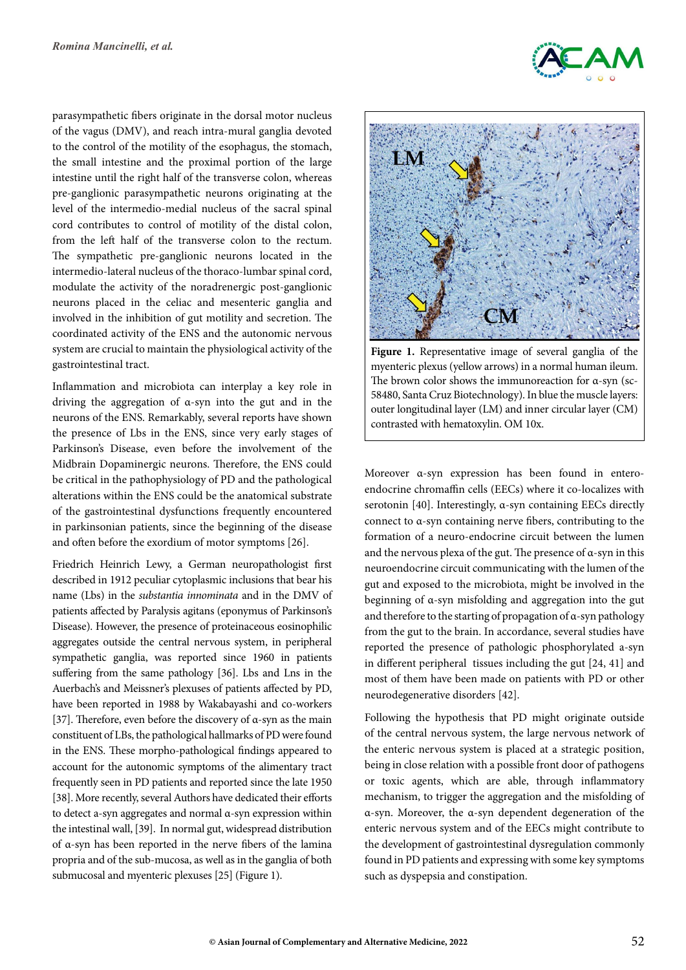parasympathetic fibers originate in the dorsal motor nucleus of the vagus (DMV), and reach intra-mural ganglia devoted to the control of the motility of the esophagus, the stomach, the small intestine and the proximal portion of the large intestine until the right half of the transverse colon, whereas pre-ganglionic parasympathetic neurons originating at the level of the intermedio-medial nucleus of the sacral spinal cord contributes to control of motility of the distal colon, from the left half of the transverse colon to the rectum. The sympathetic pre-ganglionic neurons located in the intermedio-lateral nucleus of the thoraco-lumbar spinal cord, modulate the activity of the noradrenergic post-ganglionic neurons placed in the celiac and mesenteric ganglia and involved in the inhibition of gut motility and secretion. The coordinated activity of the ENS and the autonomic nervous system are crucial to maintain the physiological activity of the gastrointestinal tract.

Inflammation and microbiota can interplay a key role in driving the aggregation of α-syn into the gut and in the neurons of the ENS. Remarkably, several reports have shown the presence of Lbs in the ENS, since very early stages of Parkinson's Disease, even before the involvement of the Midbrain Dopaminergic neurons. Therefore, the ENS could be critical in the pathophysiology of PD and the pathological alterations within the ENS could be the anatomical substrate of the gastrointestinal dysfunctions frequently encountered in parkinsonian patients, since the beginning of the disease and often before the exordium of motor symptoms [26].

Friedrich Heinrich Lewy, a German neuropathologist first described in 1912 peculiar cytoplasmic inclusions that bear his name (Lbs) in the *substantia innominata* and in the DMV of patients affected by Paralysis agitans (eponymus of Parkinson's Disease). However, the presence of proteinaceous eosinophilic aggregates outside the central nervous system, in peripheral sympathetic ganglia, was reported since 1960 in patients suffering from the same pathology [36]. Lbs and Lns in the Auerbach's and Meissner's plexuses of patients affected by PD, have been reported in 1988 by Wakabayashi and co-workers [37]. Therefore, even before the discovery of α-syn as the main constituent of LBs, the pathological hallmarks of PD were found in the ENS. These morpho-pathological findings appeared to account for the autonomic symptoms of the alimentary tract frequently seen in PD patients and reported since the late 1950 [38]. More recently, several Authors have dedicated their efforts to detect a-syn aggregates and normal α-syn expression within the intestinal wall, [39]. In normal gut, widespread distribution of α-syn has been reported in the nerve fibers of the lamina propria and of the sub-mucosa, as well as in the ganglia of both submucosal and myenteric plexuses [25] (Figure 1).



**Figure 1.** Representative image of several ganglia of the myenteric plexus (yellow arrows) in a normal human ileum. The brown color shows the immunoreaction for α-syn (sc-58480, Santa Cruz Biotechnology). In blue the muscle layers: outer longitudinal layer (LM) and inner circular layer (CM) contrasted with hematoxylin. OM 10x.

Moreover α-syn expression has been found in enteroendocrine chromaffin cells (EECs) where it co-localizes with serotonin [40]. Interestingly, α-syn containing EECs directly connect to α-syn containing nerve fibers, contributing to the formation of a neuro-endocrine circuit between the lumen and the nervous plexa of the gut. The presence of  $\alpha$ -syn in this neuroendocrine circuit communicating with the lumen of the gut and exposed to the microbiota, might be involved in the beginning of α-syn misfolding and aggregation into the gut and therefore to the starting of propagation of α-syn pathology from the gut to the brain. In accordance, several studies have reported the presence of pathologic phosphorylated a-syn in different peripheral tissues including the gut [24, 41] and most of them have been made on patients with PD or other neurodegenerative disorders [42].

Following the hypothesis that PD might originate outside of the central nervous system, the large nervous network of the enteric nervous system is placed at a strategic position, being in close relation with a possible front door of pathogens or toxic agents, which are able, through inflammatory mechanism, to trigger the aggregation and the misfolding of α-syn. Moreover, the α-syn dependent degeneration of the enteric nervous system and of the EECs might contribute to the development of gastrointestinal dysregulation commonly found in PD patients and expressing with some key symptoms such as dyspepsia and constipation.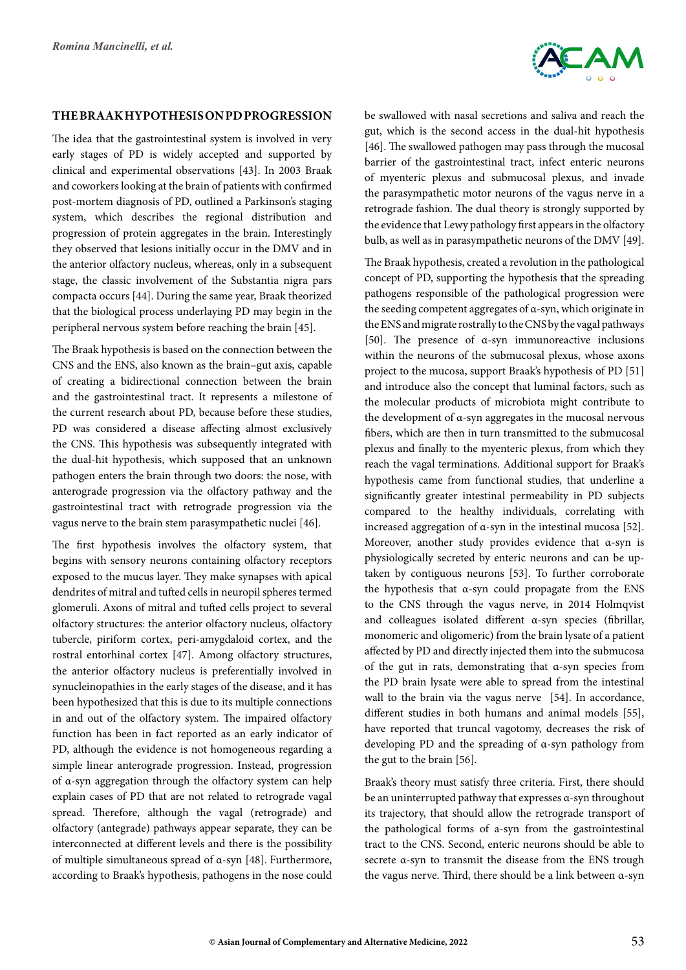

#### **TheBraak hypothesis on PD progression**

The idea that the gastrointestinal system is involved in very early stages of PD is widely accepted and supported by clinical and experimental observations [43]. In 2003 Braak and coworkers looking at the brain of patients with confirmed post-mortem diagnosis of PD, outlined a Parkinson's staging system, which describes the regional distribution and progression of protein aggregates in the brain. Interestingly they observed that lesions initially occur in the DMV and in the anterior olfactory nucleus, whereas, only in a subsequent stage, the classic involvement of the Substantia nigra pars compacta occurs [44]. During the same year, Braak theorized that the biological process underlaying PD may begin in the peripheral nervous system before reaching the brain [45].

The Braak hypothesis is based on the connection between the CNS and the ENS, also known as the brain–gut axis, capable of creating a bidirectional connection between the brain and the gastrointestinal tract. It represents a milestone of the current research about PD, because before these studies, PD was considered a disease affecting almost exclusively the CNS. This hypothesis was subsequently integrated with the dual-hit hypothesis, which supposed that an unknown pathogen enters the brain through two doors: the nose, with anterograde progression via the olfactory pathway and the gastrointestinal tract with retrograde progression via the vagus nerve to the brain stem parasympathetic nuclei [46].

The first hypothesis involves the olfactory system, that begins with sensory neurons containing olfactory receptors exposed to the mucus layer. They make synapses with apical dendrites of mitral and tufted cells in neuropil spheres termed glomeruli. Axons of mitral and tufted cells project to several olfactory structures: the anterior olfactory nucleus, olfactory tubercle, piriform cortex, peri-amygdaloid cortex, and the rostral entorhinal cortex [47]. Among olfactory structures, the anterior olfactory nucleus is preferentially involved in synucleinopathies in the early stages of the disease, and it has been hypothesized that this is due to its multiple connections in and out of the olfactory system. The impaired olfactory function has been in fact reported as an early indicator of PD, although the evidence is not homogeneous regarding a simple linear anterograde progression. Instead, progression of α-syn aggregation through the olfactory system can help explain cases of PD that are not related to retrograde vagal spread. Therefore, although the vagal (retrograde) and olfactory (antegrade) pathways appear separate, they can be interconnected at different levels and there is the possibility of multiple simultaneous spread of α-syn [48]. Furthermore, according to Braak's hypothesis, pathogens in the nose could

be swallowed with nasal secretions and saliva and reach the gut, which is the second access in the dual-hit hypothesis [46]. The swallowed pathogen may pass through the mucosal barrier of the gastrointestinal tract, infect enteric neurons of myenteric plexus and submucosal plexus, and invade the parasympathetic motor neurons of the vagus nerve in a retrograde fashion. The dual theory is strongly supported by the evidence that Lewy pathology first appears in the olfactory bulb, as well as in parasympathetic neurons of the DMV [49].

The Braak hypothesis, created a revolution in the pathological concept of PD, supporting the hypothesis that the spreading pathogens responsible of the pathological progression were the seeding competent aggregates of α-syn, which originate in the ENS and migrate rostrally to the CNS by the vagal pathways [50]. The presence of α-syn immunoreactive inclusions within the neurons of the submucosal plexus, whose axons project to the mucosa, support Braak's hypothesis of PD [51] and introduce also the concept that luminal factors, such as the molecular products of microbiota might contribute to the development of α-syn aggregates in the mucosal nervous fibers, which are then in turn transmitted to the submucosal plexus and finally to the myenteric plexus, from which they reach the vagal terminations. Additional support for Braak's hypothesis came from functional studies, that underline a significantly greater intestinal permeability in PD subjects compared to the healthy individuals, correlating with increased aggregation of α-syn in the intestinal mucosa [52]. Moreover, another study provides evidence that α-syn is physiologically secreted by enteric neurons and can be uptaken by contiguous neurons [53]. To further corroborate the hypothesis that α-syn could propagate from the ENS to the CNS through the vagus nerve, in 2014 Holmqvist and colleagues isolated different α-syn species (fibrillar, monomeric and oligomeric) from the brain lysate of a patient affected by PD and directly injected them into the submucosa of the gut in rats, demonstrating that α-syn species from the PD brain lysate were able to spread from the intestinal wall to the brain via the vagus nerve [54]. In accordance, different studies in both humans and animal models [55], have reported that truncal vagotomy, decreases the risk of developing PD and the spreading of α-syn pathology from the gut to the brain [56].

Braak's theory must satisfy three criteria. First, there should be an uninterrupted pathway that expresses α-syn throughout its trajectory, that should allow the retrograde transport of the pathological forms of a-syn from the gastrointestinal tract to the CNS. Second, enteric neurons should be able to secrete α-syn to transmit the disease from the ENS trough the vagus nerve. Third, there should be a link between α-syn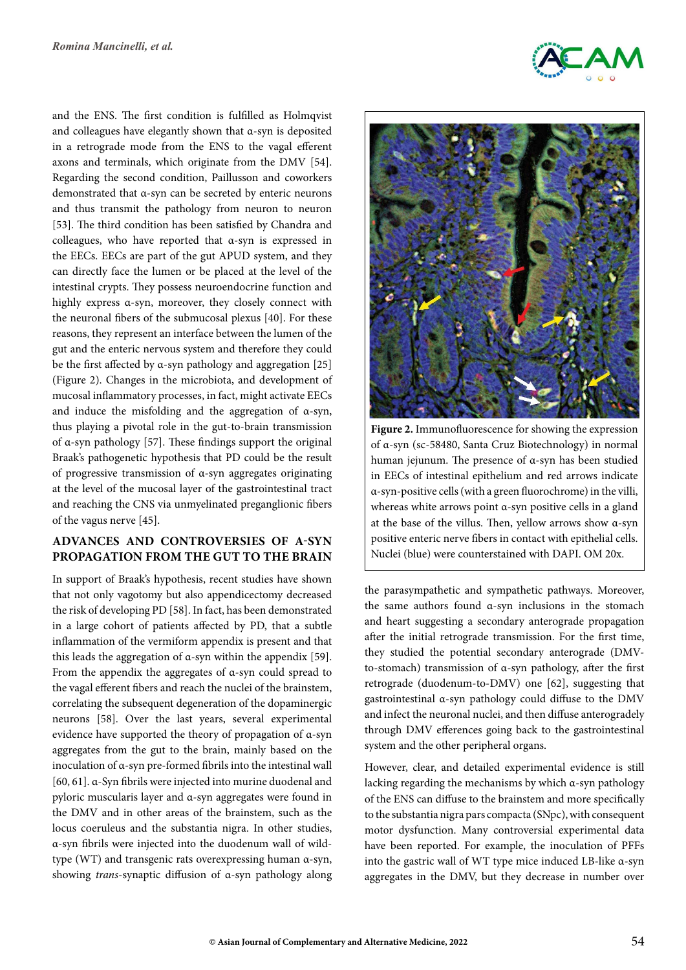and the ENS. The first condition is fulfilled as Holmqvist and colleagues have elegantly shown that  $\alpha$ -syn is deposited in a retrograde mode from the ENS to the vagal efferent axons and terminals, which originate from the DMV [54]. Regarding the second condition, Paillusson and coworkers demonstrated that α-syn can be secreted by enteric neurons and thus transmit the pathology from neuron to neuron [53]. The third condition has been satisfied by Chandra and colleagues, who have reported that α-syn is expressed in the EECs. EECs are part of the gut APUD system, and they can directly face the lumen or be placed at the level of the intestinal crypts. They possess neuroendocrine function and highly express α-syn, moreover, they closely connect with the neuronal fibers of the submucosal plexus [40]. For these reasons, they represent an interface between the lumen of the gut and the enteric nervous system and therefore they could be the first affected by  $\alpha$ -syn pathology and aggregation [25] (Figure 2). Changes in the microbiota, and development of mucosal inflammatory processes, in fact, might activate EECs and induce the misfolding and the aggregation of  $\alpha$ -syn, thus playing a pivotal role in the gut-to-brain transmission of α-syn pathology [57]. These findings support the original Braak's pathogenetic hypothesis that PD could be the result of progressive transmission of α-syn aggregates originating at the level of the mucosal layer of the gastrointestinal tract and reaching the CNS via unmyelinated preganglionic fibers of the vagus nerve [45].

## **Advances and controversies of α-syn propagation from the gut to the brain**

In support of Braak's hypothesis, recent studies have shown that not only vagotomy but also appendicectomy decreased the risk of developing PD [58]. In fact, has been demonstrated in a large cohort of patients affected by PD, that a subtle inflammation of the vermiform appendix is present and that this leads the aggregation of  $α$ -syn within the appendix [59]. From the appendix the aggregates of α-syn could spread to the vagal efferent fibers and reach the nuclei of the brainstem, correlating the subsequent degeneration of the dopaminergic neurons [58]. Over the last years, several experimental evidence have supported the theory of propagation of α-syn aggregates from the gut to the brain, mainly based on the inoculation of α-syn pre-formed fibrils into the intestinal wall [60, 61]. α-Syn fibrils were injected into murine duodenal and pyloric muscularis layer and α-syn aggregates were found in the DMV and in other areas of the brainstem, such as the locus coeruleus and the substantia nigra. In other studies, α-syn fibrils were injected into the duodenum wall of wildtype (WT) and transgenic rats overexpressing human α-syn, showing *trans*-synaptic diffusion of α-syn pathology along



Figure 2. Immunofluorescence for showing the expression of α-syn (sc-58480, Santa Cruz Biotechnology) in normal human jejunum. The presence of α-syn has been studied in EECs of intestinal epithelium and red arrows indicate α-syn-positive cells (with a green fluorochrome) in the villi, whereas white arrows point α-syn positive cells in a gland at the base of the villus. Then, yellow arrows show α-syn positive enteric nerve fibers in contact with epithelial cells. Nuclei (blue) were counterstained with DAPI. OM 20x.

the parasympathetic and sympathetic pathways. Moreover, the same authors found α-syn inclusions in the stomach and heart suggesting a secondary anterograde propagation after the initial retrograde transmission. For the first time, they studied the potential secondary anterograde (DMVto-stomach) transmission of α-syn pathology, after the first retrograde (duodenum-to-DMV) one [62], suggesting that gastrointestinal α-syn pathology could diffuse to the DMV and infect the neuronal nuclei, and then diffuse anterogradely through DMV efferences going back to the gastrointestinal system and the other peripheral organs.

However, clear, and detailed experimental evidence is still lacking regarding the mechanisms by which α-syn pathology of the ENS can diffuse to the brainstem and more specifically to the substantia nigra pars compacta (SNpc), with consequent motor dysfunction. Many controversial experimental data have been reported. For example, the inoculation of PFFs into the gastric wall of WT type mice induced LB-like α-syn aggregates in the DMV, but they decrease in number over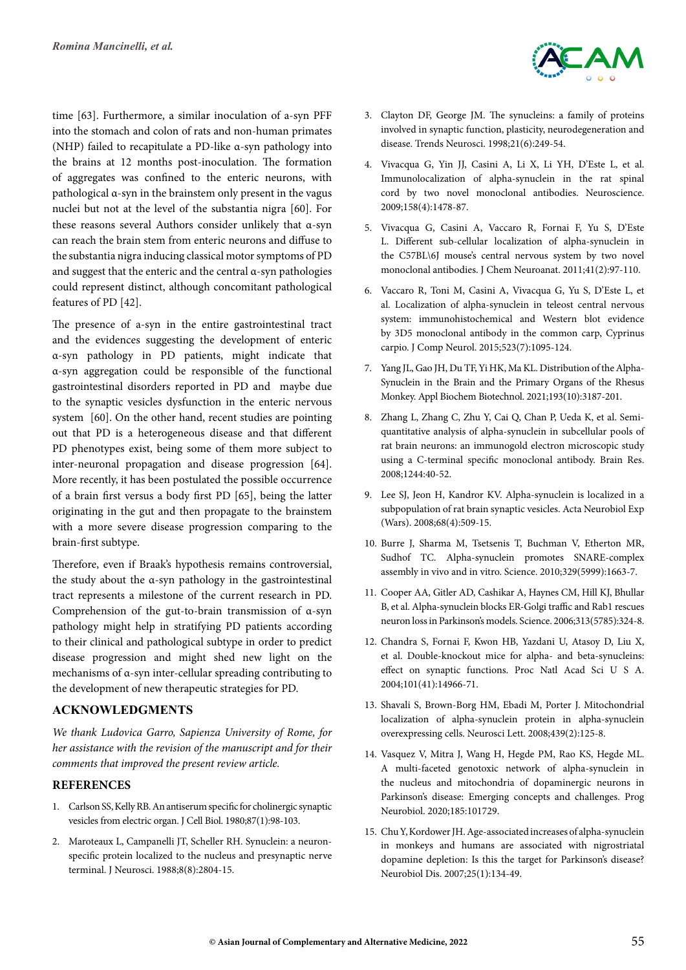time [63]. Furthermore, a similar inoculation of a-syn PFF into the stomach and colon of rats and non-human primates (NHP) failed to recapitulate a PD-like α-syn pathology into the brains at 12 months post-inoculation. The formation of aggregates was confined to the enteric neurons, with pathological α-syn in the brainstem only present in the vagus nuclei but not at the level of the substantia nigra [60]. For these reasons several Authors consider unlikely that α-syn can reach the brain stem from enteric neurons and diffuse to the substantia nigra inducing classical motor symptoms of PD and suggest that the enteric and the central α-syn pathologies could represent distinct, although concomitant pathological features of PD [42].

The presence of a-syn in the entire gastrointestinal tract and the evidences suggesting the development of enteric α-syn pathology in PD patients, might indicate that α-syn aggregation could be responsible of the functional gastrointestinal disorders reported in PD and maybe due to the synaptic vesicles dysfunction in the enteric nervous system [60]. On the other hand, recent studies are pointing out that PD is a heterogeneous disease and that different PD phenotypes exist, being some of them more subject to inter-neuronal propagation and disease progression [64]. More recently, it has been postulated the possible occurrence of a brain first versus a body first PD [65], being the latter originating in the gut and then propagate to the brainstem with a more severe disease progression comparing to the brain-first subtype.

Therefore, even if Braak's hypothesis remains controversial, the study about the α-syn pathology in the gastrointestinal tract represents a milestone of the current research in PD. Comprehension of the gut-to-brain transmission of α-syn pathology might help in stratifying PD patients according to their clinical and pathological subtype in order to predict disease progression and might shed new light on the mechanisms of α-syn inter-cellular spreading contributing to the development of new therapeutic strategies for PD.

#### **Acknowledgments**

*We thank Ludovica Garro, Sapienza University of Rome, for her assistance with the revision of the manuscript and for their comments that improved the present review article.*

#### **References**

- 1. Carlson SS, Kelly RB. An antiserum specific for cholinergic synaptic vesicles from electric organ. J Cell Biol. 1980;87(1):98-103.
- 2. Maroteaux L, Campanelli JT, Scheller RH. Synuclein: a neuronspecific protein localized to the nucleus and presynaptic nerve terminal. J Neurosci. 1988;8(8):2804-15.



- 3. Clayton DF, George JM. The synucleins: a family of proteins involved in synaptic function, plasticity, neurodegeneration and disease. Trends Neurosci. 1998;21(6):249-54.
- 4. Vivacqua G, Yin JJ, Casini A, Li X, Li YH, D'Este L, et al. Immunolocalization of alpha-synuclein in the rat spinal cord by two novel monoclonal antibodies. Neuroscience. 2009;158(4):1478-87.
- 5. Vivacqua G, Casini A, Vaccaro R, Fornai F, Yu S, D'Este L. Different sub-cellular localization of alpha-synuclein in the C57BL\6J mouse's central nervous system by two novel monoclonal antibodies. J Chem Neuroanat. 2011;41(2):97-110.
- 6. Vaccaro R, Toni M, Casini A, Vivacqua G, Yu S, D'Este L, et al. Localization of alpha-synuclein in teleost central nervous system: immunohistochemical and Western blot evidence by 3D5 monoclonal antibody in the common carp, Cyprinus carpio. J Comp Neurol. 2015;523(7):1095-124.
- 7. Yang JL, Gao JH, Du TF, Yi HK, Ma KL. Distribution of the Alpha-Synuclein in the Brain and the Primary Organs of the Rhesus Monkey. Appl Biochem Biotechnol. 2021;193(10):3187-201.
- 8. Zhang L, Zhang C, Zhu Y, Cai Q, Chan P, Ueda K, et al. Semiquantitative analysis of alpha-synuclein in subcellular pools of rat brain neurons: an immunogold electron microscopic study using a C-terminal specific monoclonal antibody. Brain Res. 2008;1244:40-52.
- 9. Lee SJ, Jeon H, Kandror KV. Alpha-synuclein is localized in a subpopulation of rat brain synaptic vesicles. Acta Neurobiol Exp (Wars). 2008;68(4):509-15.
- 10. Burre J, Sharma M, Tsetsenis T, Buchman V, Etherton MR, Sudhof TC. Alpha-synuclein promotes SNARE-complex assembly in vivo and in vitro. Science. 2010;329(5999):1663-7.
- 11. Cooper AA, Gitler AD, Cashikar A, Haynes CM, Hill KJ, Bhullar B, et al. Alpha-synuclein blocks ER-Golgi traffic and Rab1 rescues neuron loss in Parkinson's models. Science. 2006;313(5785):324-8.
- 12. Chandra S, Fornai F, Kwon HB, Yazdani U, Atasoy D, Liu X, et al. Double-knockout mice for alpha- and beta-synucleins: effect on synaptic functions. Proc Natl Acad Sci U S A. 2004;101(41):14966-71.
- 13. Shavali S, Brown-Borg HM, Ebadi M, Porter J. Mitochondrial localization of alpha-synuclein protein in alpha-synuclein overexpressing cells. Neurosci Lett. 2008;439(2):125-8.
- 14. Vasquez V, Mitra J, Wang H, Hegde PM, Rao KS, Hegde ML. A multi-faceted genotoxic network of alpha-synuclein in the nucleus and mitochondria of dopaminergic neurons in Parkinson's disease: Emerging concepts and challenges. Prog Neurobiol. 2020;185:101729.
- 15. Chu Y, Kordower JH. Age-associated increases of alpha-synuclein in monkeys and humans are associated with nigrostriatal dopamine depletion: Is this the target for Parkinson's disease? Neurobiol Dis. 2007;25(1):134-49.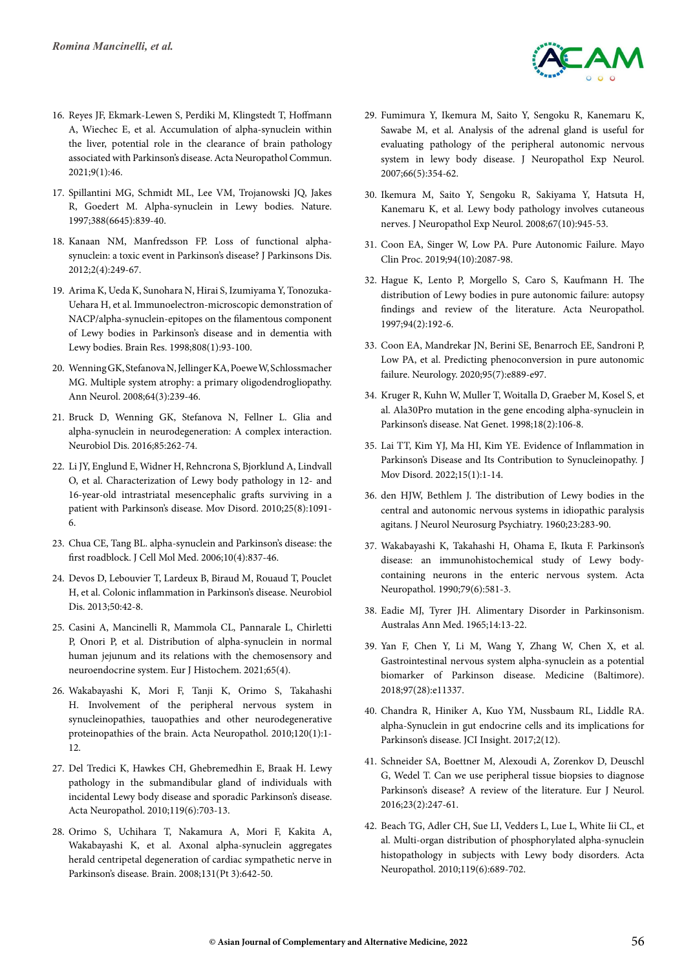

- 16. Reyes JF, Ekmark-Lewen S, Perdiki M, Klingstedt T, Hoffmann A, Wiechec E, et al. Accumulation of alpha-synuclein within the liver, potential role in the clearance of brain pathology associated with Parkinson's disease. Acta Neuropathol Commun. 2021;9(1):46.
- 17. Spillantini MG, Schmidt ML, Lee VM, Trojanowski JQ, Jakes R, Goedert M. Alpha-synuclein in Lewy bodies. Nature. 1997;388(6645):839-40.
- 18. Kanaan NM, Manfredsson FP. Loss of functional alphasynuclein: a toxic event in Parkinson's disease? J Parkinsons Dis. 2012;2(4):249-67.
- 19. Arima K, Ueda K, Sunohara N, Hirai S, Izumiyama Y, Tonozuka-Uehara H, et al. Immunoelectron-microscopic demonstration of NACP/alpha-synuclein-epitopes on the filamentous component of Lewy bodies in Parkinson's disease and in dementia with Lewy bodies. Brain Res. 1998;808(1):93-100.
- 20. Wenning GK, Stefanova N, Jellinger KA, Poewe W, Schlossmacher MG. Multiple system atrophy: a primary oligodendrogliopathy. Ann Neurol. 2008;64(3):239-46.
- 21. Bruck D, Wenning GK, Stefanova N, Fellner L. Glia and alpha-synuclein in neurodegeneration: A complex interaction. Neurobiol Dis. 2016;85:262-74.
- 22. Li JY, Englund E, Widner H, Rehncrona S, Bjorklund A, Lindvall O, et al. Characterization of Lewy body pathology in 12- and 16-year-old intrastriatal mesencephalic grafts surviving in a patient with Parkinson's disease. Mov Disord. 2010;25(8):1091- 6.
- 23. Chua CE, Tang BL. alpha-synuclein and Parkinson's disease: the first roadblock. J Cell Mol Med. 2006;10(4):837-46.
- 24. Devos D, Lebouvier T, Lardeux B, Biraud M, Rouaud T, Pouclet H, et al. Colonic inflammation in Parkinson's disease. Neurobiol Dis. 2013;50:42-8.
- 25. Casini A, Mancinelli R, Mammola CL, Pannarale L, Chirletti P, Onori P, et al. Distribution of alpha-synuclein in normal human jejunum and its relations with the chemosensory and neuroendocrine system. Eur J Histochem. 2021;65(4).
- 26. Wakabayashi K, Mori F, Tanji K, Orimo S, Takahashi H. Involvement of the peripheral nervous system in synucleinopathies, tauopathies and other neurodegenerative proteinopathies of the brain. Acta Neuropathol. 2010;120(1):1- 12.
- 27. Del Tredici K, Hawkes CH, Ghebremedhin E, Braak H. Lewy pathology in the submandibular gland of individuals with incidental Lewy body disease and sporadic Parkinson's disease. Acta Neuropathol. 2010;119(6):703-13.
- 28. Orimo S, Uchihara T, Nakamura A, Mori F, Kakita A, Wakabayashi K, et al. Axonal alpha-synuclein aggregates herald centripetal degeneration of cardiac sympathetic nerve in Parkinson's disease. Brain. 2008;131(Pt 3):642-50.
- 29. Fumimura Y, Ikemura M, Saito Y, Sengoku R, Kanemaru K, Sawabe M, et al. Analysis of the adrenal gland is useful for evaluating pathology of the peripheral autonomic nervous system in lewy body disease. J Neuropathol Exp Neurol. 2007;66(5):354-62.
- 30. Ikemura M, Saito Y, Sengoku R, Sakiyama Y, Hatsuta H, Kanemaru K, et al. Lewy body pathology involves cutaneous nerves. J Neuropathol Exp Neurol. 2008;67(10):945-53.
- 31. Coon EA, Singer W, Low PA. Pure Autonomic Failure. Mayo Clin Proc. 2019;94(10):2087-98.
- 32. Hague K, Lento P, Morgello S, Caro S, Kaufmann H. The distribution of Lewy bodies in pure autonomic failure: autopsy findings and review of the literature. Acta Neuropathol. 1997;94(2):192-6.
- 33. Coon EA, Mandrekar JN, Berini SE, Benarroch EE, Sandroni P, Low PA, et al. Predicting phenoconversion in pure autonomic failure. Neurology. 2020;95(7):e889-e97.
- 34. Kruger R, Kuhn W, Muller T, Woitalla D, Graeber M, Kosel S, et al. Ala30Pro mutation in the gene encoding alpha-synuclein in Parkinson's disease. Nat Genet. 1998;18(2):106-8.
- 35. Lai TT, Kim YJ, Ma HI, Kim YE. Evidence of Inflammation in Parkinson's Disease and Its Contribution to Synucleinopathy. J Mov Disord. 2022;15(1):1-14.
- 36. den HJW, Bethlem J. The distribution of Lewy bodies in the central and autonomic nervous systems in idiopathic paralysis agitans. J Neurol Neurosurg Psychiatry. 1960;23:283-90.
- 37. Wakabayashi K, Takahashi H, Ohama E, Ikuta F. Parkinson's disease: an immunohistochemical study of Lewy bodycontaining neurons in the enteric nervous system. Acta Neuropathol. 1990;79(6):581-3.
- 38. Eadie MJ, Tyrer JH. Alimentary Disorder in Parkinsonism. Australas Ann Med. 1965;14:13-22.
- 39. Yan F, Chen Y, Li M, Wang Y, Zhang W, Chen X, et al. Gastrointestinal nervous system alpha-synuclein as a potential biomarker of Parkinson disease. Medicine (Baltimore). 2018;97(28):e11337.
- 40. Chandra R, Hiniker A, Kuo YM, Nussbaum RL, Liddle RA. alpha-Synuclein in gut endocrine cells and its implications for Parkinson's disease. JCI Insight. 2017;2(12).
- 41. Schneider SA, Boettner M, Alexoudi A, Zorenkov D, Deuschl G, Wedel T. Can we use peripheral tissue biopsies to diagnose Parkinson's disease? A review of the literature. Eur J Neurol. 2016;23(2):247-61.
- 42. Beach TG, Adler CH, Sue LI, Vedders L, Lue L, White Iii CL, et al. Multi-organ distribution of phosphorylated alpha-synuclein histopathology in subjects with Lewy body disorders. Acta Neuropathol. 2010;119(6):689-702.